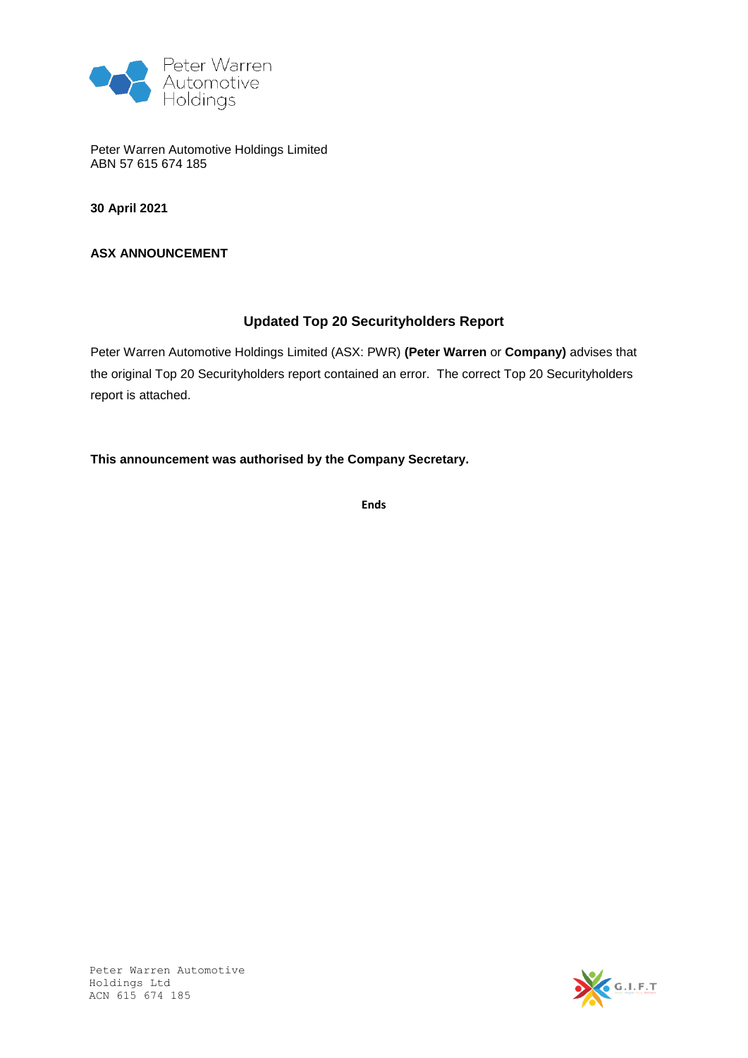

Peter Warren Automotive Holdings Limited ABN 57 615 674 185

**30 April 2021**

**ASX ANNOUNCEMENT**

### **Updated Top 20 Securityholders Report**

Peter Warren Automotive Holdings Limited (ASX: PWR) **(Peter Warren** or **Company)** advises that the original Top 20 Securityholders report contained an error. The correct Top 20 Securityholders report is attached.

**This announcement was authorised by the Company Secretary.**

**Ends**



Peter Warren Automotive Holdings Ltd ACN 615 674 185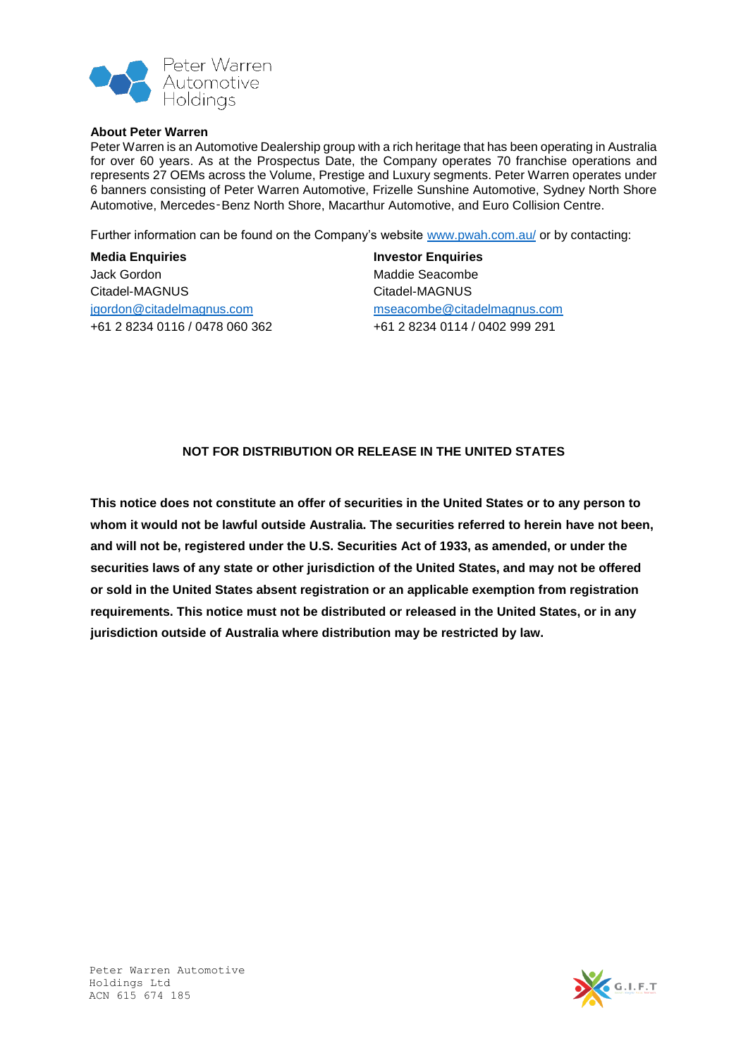

#### **About Peter Warren**

Peter Warren is an Automotive Dealership group with a rich heritage that has been operating in Australia for over 60 years. As at the Prospectus Date, the Company operates 70 franchise operations and represents 27 OEMs across the Volume, Prestige and Luxury segments. Peter Warren operates under 6 banners consisting of Peter Warren Automotive, Frizelle Sunshine Automotive, Sydney North Shore Automotive, Mercedes‑Benz North Shore, Macarthur Automotive, and Euro Collision Centre.

Further information can be found on the Company's website [www.pwah.com.au/](http://www.pwah.com.au/) or by contacting:

### **Media Enquiries** Jack Gordon Citadel-MAGNUS [jgordon@citadelmagnus.com](mailto:jgordon@citadelmagnus.com) +61 2 8234 0116 / 0478 060 362

**Investor Enquiries** Maddie Seacombe Citadel-MAGNUS [mseacombe@citadelmagnus.com](mailto:mseacombe@citadelmagnus.com) +61 2 8234 0114 / 0402 999 291

#### **NOT FOR DISTRIBUTION OR RELEASE IN THE UNITED STATES**

**This notice does not constitute an offer of securities in the United States or to any person to whom it would not be lawful outside Australia. The securities referred to herein have not been, and will not be, registered under the U.S. Securities Act of 1933, as amended, or under the securities laws of any state or other jurisdiction of the United States, and may not be offered or sold in the United States absent registration or an applicable exemption from registration requirements. This notice must not be distributed or released in the United States, or in any jurisdiction outside of Australia where distribution may be restricted by law.**

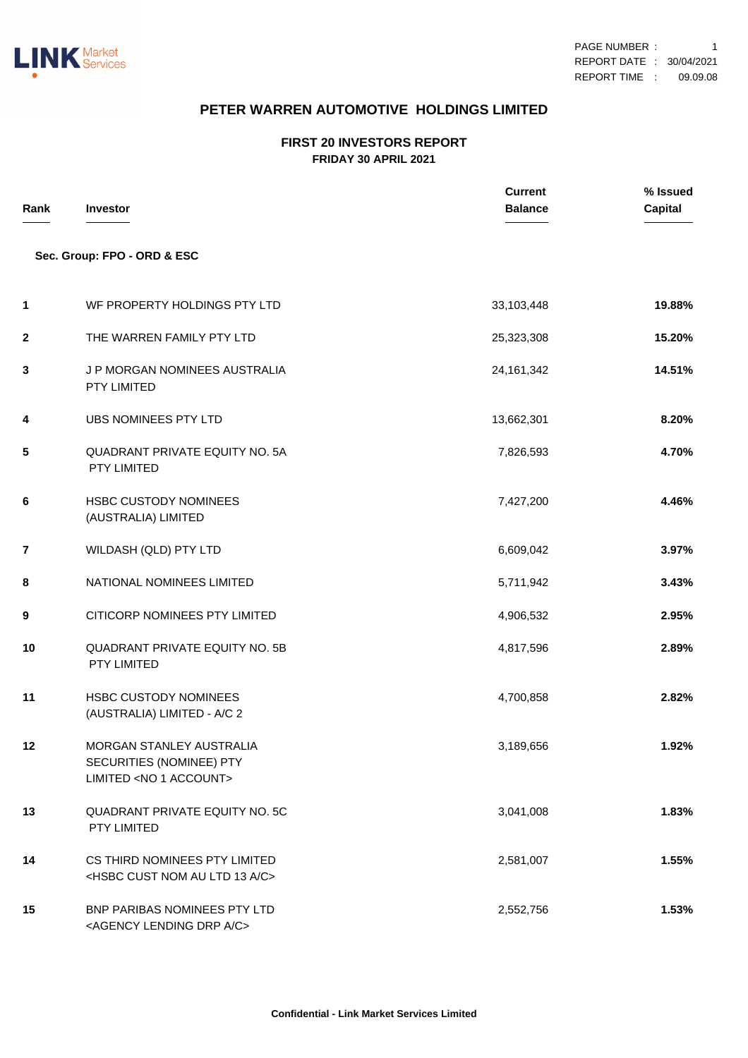

# **PETER WARREN AUTOMOTIVE HOLDINGS LIMITED**

#### **FIRST 20 INVESTORS REPORT FRIDAY 30 APRIL 2021**

| Rank        | <b>Investor</b>                                                                            | <b>Current</b><br><b>Balance</b> | % Issued<br><b>Capital</b> |
|-------------|--------------------------------------------------------------------------------------------|----------------------------------|----------------------------|
|             | Sec. Group: FPO - ORD & ESC                                                                |                                  |                            |
| 1           | WF PROPERTY HOLDINGS PTY LTD                                                               | 33,103,448                       | 19.88%                     |
| $\mathbf 2$ | THE WARREN FAMILY PTY LTD                                                                  | 25,323,308                       | 15.20%                     |
| 3           | J P MORGAN NOMINEES AUSTRALIA<br>PTY LIMITED                                               | 24, 161, 342                     | 14.51%                     |
| 4           | UBS NOMINEES PTY LTD                                                                       | 13,662,301                       | 8.20%                      |
| 5           | <b>QUADRANT PRIVATE EQUITY NO. 5A</b><br>PTY LIMITED                                       | 7,826,593                        | 4.70%                      |
| 6           | <b>HSBC CUSTODY NOMINEES</b><br>(AUSTRALIA) LIMITED                                        | 7,427,200                        | 4.46%                      |
| 7           | WILDASH (QLD) PTY LTD                                                                      | 6,609,042                        | 3.97%                      |
| 8           | NATIONAL NOMINEES LIMITED                                                                  | 5,711,942                        | 3.43%                      |
| 9           | CITICORP NOMINEES PTY LIMITED                                                              | 4,906,532                        | 2.95%                      |
| 10          | <b>QUADRANT PRIVATE EQUITY NO. 5B</b><br>PTY LIMITED                                       | 4,817,596                        | 2.89%                      |
| 11          | <b>HSBC CUSTODY NOMINEES</b><br>(AUSTRALIA) LIMITED - A/C 2                                | 4,700,858                        | 2.82%                      |
| 12          | MORGAN STANLEY AUSTRALIA<br>SECURITIES (NOMINEE) PTY<br>LIMITED <no 1="" account=""></no>  | 3,189,656                        | 1.92%                      |
| 13          | QUADRANT PRIVATE EQUITY NO. 5C<br>PTY LIMITED                                              | 3,041,008                        | 1.83%                      |
| 14          | CS THIRD NOMINEES PTY LIMITED<br><hsbc 13="" a="" au="" c="" cust="" ltd="" nom=""></hsbc> | 2,581,007                        | 1.55%                      |
| 15          | BNP PARIBAS NOMINEES PTY LTD<br><agency a="" c="" drp="" lending=""></agency>              | 2,552,756                        | 1.53%                      |